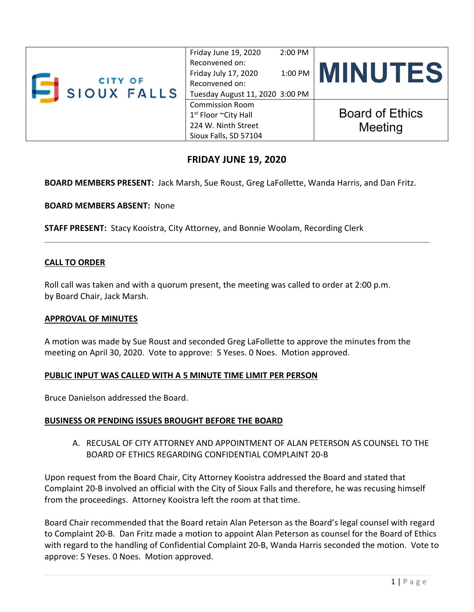| <b>CITY OF</b><br><b>SIOUX FALLS</b> | $2:00$ PM<br>Friday June 19, 2020<br>Reconvened on:<br>Friday July 17, 2020<br>Reconvened on:<br>Tuesday August 11, 2020 3:00 PM | 1:00 PM MINUTES                   |
|--------------------------------------|----------------------------------------------------------------------------------------------------------------------------------|-----------------------------------|
|                                      | <b>Commission Room</b><br>$1st$ Floor ~City Hall<br>224 W. Ninth Street<br>Sioux Falls, SD 57104                                 | <b>Board of Ethics</b><br>Meeting |

## **FRIDAY JUNE 19, 2020**

**BOARD MEMBERS PRESENT:** Jack Marsh, Sue Roust, Greg LaFollette, Wanda Harris, and Dan Fritz.

**BOARD MEMBERS ABSENT:** None

**STAFF PRESENT:** Stacy Kooistra, City Attorney, and Bonnie Woolam, Recording Clerk

### **CALL TO ORDER**

Roll call was taken and with a quorum present, the meeting was called to order at 2:00 p.m. by Board Chair, Jack Marsh.

#### **APPROVAL OF MINUTES**

A motion was made by Sue Roust and seconded Greg LaFollette to approve the minutes from the meeting on April 30, 2020. Vote to approve: 5 Yeses. 0 Noes. Motion approved.

### **PUBLIC INPUT WAS CALLED WITH A 5 MINUTE TIME LIMIT PER PERSON**

Bruce Danielson addressed the Board.

### **BUSINESS OR PENDING ISSUES BROUGHT BEFORE THE BOARD**

A. RECUSAL OF CITY ATTORNEY AND APPOINTMENT OF ALAN PETERSON AS COUNSEL TO THE BOARD OF ETHICS REGARDING CONFIDENTIAL COMPLAINT 20‐B

Upon request from the Board Chair, City Attorney Kooistra addressed the Board and stated that Complaint 20‐B involved an official with the City of Sioux Falls and therefore, he was recusing himself from the proceedings. Attorney Kooistra left the room at that time.

Board Chair recommended that the Board retain Alan Peterson as the Board's legal counsel with regard to Complaint 20‐B. Dan Fritz made a motion to appoint Alan Peterson as counsel for the Board of Ethics with regard to the handling of Confidential Complaint 20‐B, Wanda Harris seconded the motion. Vote to approve: 5 Yeses. 0 Noes. Motion approved.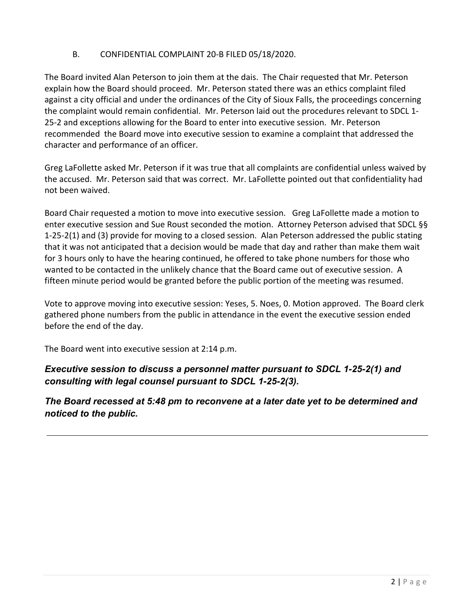### B. CONFIDENTIAL COMPLAINT 20‐B FILED 05/18/2020.

The Board invited Alan Peterson to join them at the dais. The Chair requested that Mr. Peterson explain how the Board should proceed. Mr. Peterson stated there was an ethics complaint filed against a city official and under the ordinances of the City of Sioux Falls, the proceedings concerning the complaint would remain confidential. Mr. Peterson laid out the procedures relevant to SDCL 1‐ 25‐2 and exceptions allowing for the Board to enter into executive session. Mr. Peterson recommended the Board move into executive session to examine a complaint that addressed the character and performance of an officer.

Greg LaFollette asked Mr. Peterson if it was true that all complaints are confidential unless waived by the accused. Mr. Peterson said that was correct. Mr. LaFollette pointed out that confidentiality had not been waived.

Board Chair requested a motion to move into executive session. Greg LaFollette made a motion to enter executive session and Sue Roust seconded the motion. Attorney Peterson advised that SDCL §§ 1‐25‐2(1) and (3) provide for moving to a closed session. Alan Peterson addressed the public stating that it was not anticipated that a decision would be made that day and rather than make them wait for 3 hours only to have the hearing continued, he offered to take phone numbers for those who wanted to be contacted in the unlikely chance that the Board came out of executive session. A fifteen minute period would be granted before the public portion of the meeting was resumed.

Vote to approve moving into executive session: Yeses, 5. Noes, 0. Motion approved. The Board clerk gathered phone numbers from the public in attendance in the event the executive session ended before the end of the day.

The Board went into executive session at 2:14 p.m.

*Executive session to discuss a personnel matter pursuant to SDCL 1-25-2(1) and consulting with legal counsel pursuant to SDCL 1-25-2(3).* 

*The Board recessed at 5:48 pm to reconvene at a later date yet to be determined and noticed to the public.*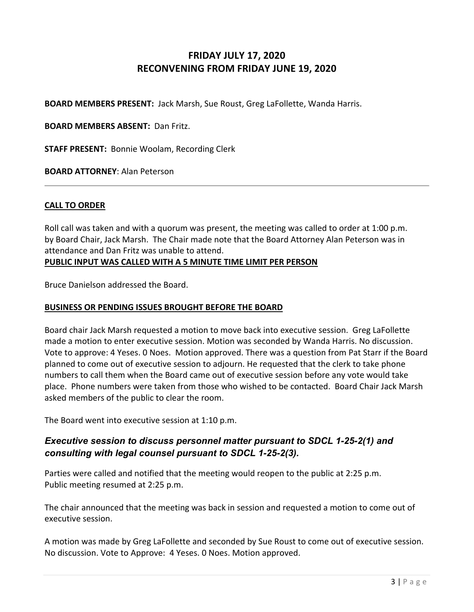# **FRIDAY JULY 17, 2020 RECONVENING FROM FRIDAY JUNE 19, 2020**

**BOARD MEMBERS PRESENT:** Jack Marsh, Sue Roust, Greg LaFollette, Wanda Harris.

**BOARD MEMBERS ABSENT:** Dan Fritz.

**STAFF PRESENT:** Bonnie Woolam, Recording Clerk

**BOARD ATTORNEY**: Alan Peterson

### **CALL TO ORDER**

Roll call was taken and with a quorum was present, the meeting was called to order at 1:00 p.m. by Board Chair, Jack Marsh. The Chair made note that the Board Attorney Alan Peterson was in attendance and Dan Fritz was unable to attend. **PUBLIC INPUT WAS CALLED WITH A 5 MINUTE TIME LIMIT PER PERSON**

Bruce Danielson addressed the Board.

#### **BUSINESS OR PENDING ISSUES BROUGHT BEFORE THE BOARD**

Board chair Jack Marsh requested a motion to move back into executive session. Greg LaFollette made a motion to enter executive session. Motion was seconded by Wanda Harris. No discussion. Vote to approve: 4 Yeses. 0 Noes. Motion approved. There was a question from Pat Starr if the Board planned to come out of executive session to adjourn. He requested that the clerk to take phone numbers to call them when the Board came out of executive session before any vote would take place. Phone numbers were taken from those who wished to be contacted. Board Chair Jack Marsh asked members of the public to clear the room.

The Board went into executive session at 1:10 p.m.

### *Executive session to discuss personnel matter pursuant to SDCL 1-25-2(1) and consulting with legal counsel pursuant to SDCL 1-25-2(3).*

Parties were called and notified that the meeting would reopen to the public at 2:25 p.m. Public meeting resumed at 2:25 p.m.

The chair announced that the meeting was back in session and requested a motion to come out of executive session.

A motion was made by Greg LaFollette and seconded by Sue Roust to come out of executive session. No discussion. Vote to Approve: 4 Yeses. 0 Noes. Motion approved.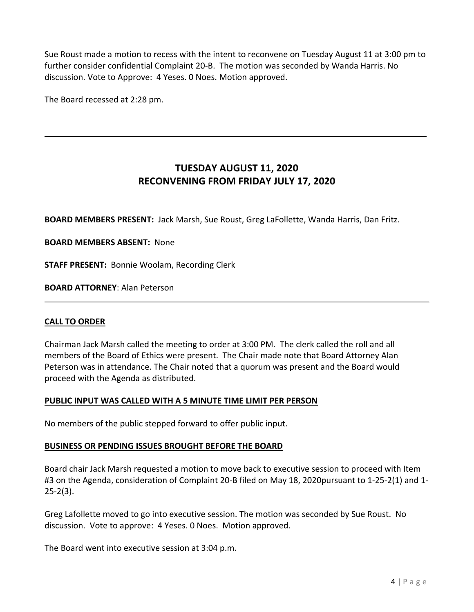Sue Roust made a motion to recess with the intent to reconvene on Tuesday August 11 at 3:00 pm to further consider confidential Complaint 20‐B. The motion was seconded by Wanda Harris. No discussion. Vote to Approve: 4 Yeses. 0 Noes. Motion approved.

The Board recessed at 2:28 pm.

# **TUESDAY AUGUST 11, 2020 RECONVENING FROM FRIDAY JULY 17, 2020**

**BOARD MEMBERS PRESENT:** Jack Marsh, Sue Roust, Greg LaFollette, Wanda Harris, Dan Fritz.

### **BOARD MEMBERS ABSENT:** None

**STAFF PRESENT:** Bonnie Woolam, Recording Clerk

**BOARD ATTORNEY**: Alan Peterson

### **CALL TO ORDER**

Chairman Jack Marsh called the meeting to order at 3:00 PM. The clerk called the roll and all members of the Board of Ethics were present. The Chair made note that Board Attorney Alan Peterson was in attendance. The Chair noted that a quorum was present and the Board would proceed with the Agenda as distributed.

### **PUBLIC INPUT WAS CALLED WITH A 5 MINUTE TIME LIMIT PER PERSON**

No members of the public stepped forward to offer public input.

### **BUSINESS OR PENDING ISSUES BROUGHT BEFORE THE BOARD**

Board chair Jack Marsh requested a motion to move back to executive session to proceed with Item #3 on the Agenda, consideration of Complaint 20‐B filed on May 18, 2020pursuant to 1‐25‐2(1) and 1‐  $25 - 2(3)$ .

Greg Lafollette moved to go into executive session. The motion was seconded by Sue Roust. No discussion. Vote to approve: 4 Yeses. 0 Noes. Motion approved.

The Board went into executive session at 3:04 p.m.